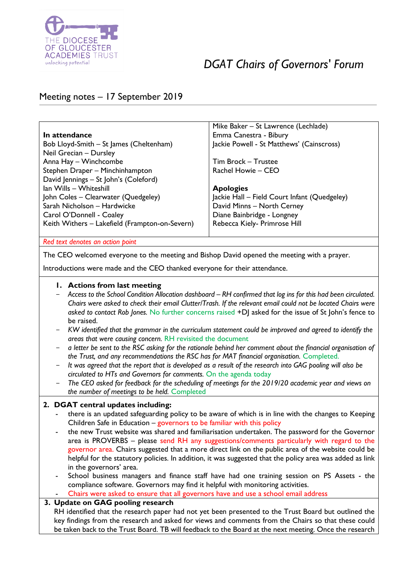

# *DGAT Chairs of Governors' Forum*

# Meeting notes – 17 September 2019

|                                                | Mike Baker – St Lawrence (Lechlade)          |
|------------------------------------------------|----------------------------------------------|
| In attendance                                  | Emma Canestra - Bibury                       |
| Bob Lloyd-Smith - St James (Cheltenham)        | Jackie Powell - St Matthews' (Cainscross)    |
| Neil Grecian - Dursley                         |                                              |
| Anna Hay - Winchcombe                          | Tim Brock - Trustee                          |
| Stephen Draper - Minchinhampton                | Rachel Howie - CEO                           |
| David Jennings - St John's (Coleford)          |                                              |
| Ian Wills - Whiteshill                         | <b>Apologies</b>                             |
| John Coles - Clearwater (Quedgeley)            | Jackie Hall - Field Court Infant (Quedgeley) |
| Sarah Nicholson - Hardwicke                    | David Minns - North Cerney                   |
| Carol O'Donnell - Coaley                       | Diane Bainbridge - Longney                   |
| Keith Withers - Lakefield (Frampton-on-Severn) | Rebecca Kiely- Primrose Hill                 |
|                                                |                                              |

*Red text denotes an action point*

The CEO welcomed everyone to the meeting and Bishop David opened the meeting with a prayer.

Introductions were made and the CEO thanked everyone for their attendance.

#### **1. Actions from last meeting**

- *Access to the School Condition Allocation dashboard – RH confirmed that log ins for this had been circulated. Chairs were asked to check their email Clutter/Trash. If the relevant email could not be located Chairs were asked to contact Rob Jones.* No further concerns raised +DJ asked for the issue of St John's fence to be raised.
- *KW identified that the grammar in the curriculum statement could be improved and agreed to identify the areas that were causing concern.* RH revisited the document
- *a letter be sent to the RSC asking for the rationale behind her comment about the financial organisation of*  the Trust, and any recommendations the RSC has for MAT financial organisation. Completed.
- It was agreed that the report that is developed as a result of the research into GAG pooling will also be *circulated to HTs and Governors for comments.* On the agenda today
- The CEO asked for feedback for the scheduling of meetings for the 2019/20 academic year and views on *the number of meetings to be held.* Completed

#### **2. DGAT central updates including:**

- there is an updated safeguarding policy to be aware of which is in line with the changes to Keeping Children Safe in Education – governors to be familiar with this policy
- the new Trust website was shared and familiarisation undertaken. The password for the Governor area is PROVERBS – please send RH any suggestions/comments particularly with regard to the governor area. Chairs suggested that a more direct link on the public area of the website could be helpful for the statutory policies. In addition, it was suggested that the policy area was added as link in the governors' area.
- School business managers and finance staff have had one training session on PS Assets the compliance software. Governors may find it helpful with monitoring activities.
- Chairs were asked to ensure that all governors have and use a school email address

#### **3. Update on GAG pooling research**

RH identified that the research paper had not yet been presented to the Trust Board but outlined the key findings from the research and asked for views and comments from the Chairs so that these could be taken back to the Trust Board. TB will feedback to the Board at the next meeting. Once the research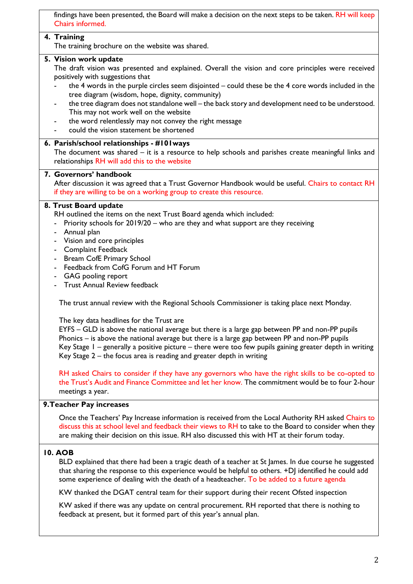findings have been presented, the Board will make a decision on the next steps to be taken. RH will keep Chairs informed.

#### **4. Training**

The training brochure on the website was shared.

#### **5. Vision work update**

The draft vision was presented and explained. Overall the vision and core principles were received positively with suggestions that

- the 4 words in the purple circles seem disjointed could these be the 4 core words included in the tree diagram (wisdom, hope, dignity, community)
- the tree diagram does not standalone well the back story and development need to be understood. This may not work well on the website
- the word relentlessly may not convey the right message
- could the vision statement be shortened

#### **6. Parish/school relationships - #101ways**

The document was shared – it is a resource to help schools and parishes create meaningful links and relationships RH will add this to the website

### **7. Governors' handbook**

After discussion it was agreed that a Trust Governor Handbook would be useful. Chairs to contact RH if they are willing to be on a working group to create this resource.

#### **8. Trust Board update**

RH outlined the items on the next Trust Board agenda which included:

- Priority schools for 2019/20 who are they and what support are they receiving
- Annual plan
- Vision and core principles
- Complaint Feedback
- Bream CofE Primary School
- Feedback from CofG Forum and HT Forum
- GAG pooling report
- Trust Annual Review feedback

The trust annual review with the Regional Schools Commissioner is taking place next Monday.

The key data headlines for the Trust are

EYFS – GLD is above the national average but there is a large gap between PP and non-PP pupils Phonics – is above the national average but there is a large gap between PP and non-PP pupils Key Stage 1 – generally a positive picture – there were too few pupils gaining greater depth in writing Key Stage 2 – the focus area is reading and greater depth in writing

RH asked Chairs to consider if they have any governors who have the right skills to be co-opted to the Trust's Audit and Finance Committee and let her know. The commitment would be to four 2-hour meetings a year.

#### **9.Teacher Pay increases**

Once the Teachers' Pay Increase information is received from the Local Authority RH asked Chairs to discuss this at school level and feedback their views to RH to take to the Board to consider when they are making their decision on this issue. RH also discussed this with HT at their forum today.

#### **10. AOB**

BLD explained that there had been a tragic death of a teacher at St James. In due course he suggested that sharing the response to this experience would be helpful to others.  $+D$  identified he could add some experience of dealing with the death of a headteacher. To be added to a future agenda

KW thanked the DGAT central team for their support during their recent Ofsted inspection

KW asked if there was any update on central procurement. RH reported that there is nothing to feedback at present, but it formed part of this year's annual plan.